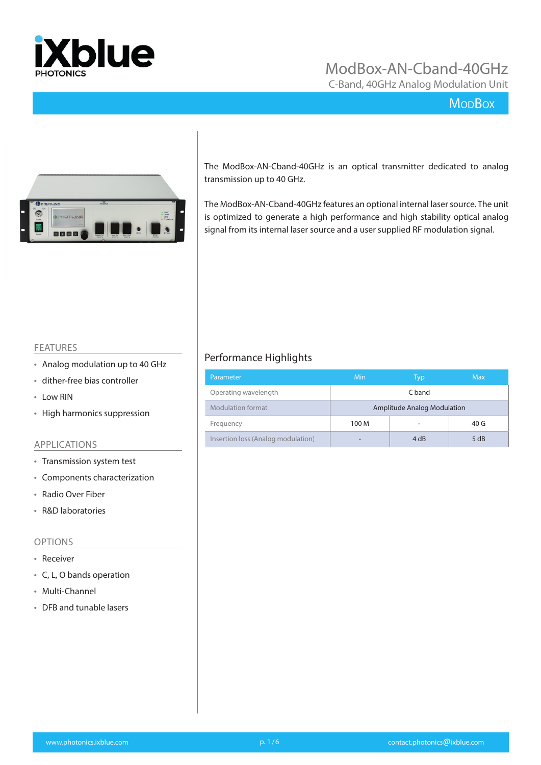

C-Band, 40GHz Analog Modulation Unit

## **MoDBox**



The ModBox-AN-Cband-40GHz is an optical transmitter dedicated to analog transmission up to 40 GHz.

The ModBox-AN-Cband-40GHz features an optional internal laser source. The unit is optimized to generate a high performance and high stability optical analog signal from its internal laser source and a user supplied RF modulation signal.

#### FEATURES

- Analog modulation up to 40 GHz
- dither-free bias controller
- Low RIN
- High harmonics suppression

#### APPLICATIONS

- Transmission system test
- Components characterization
- Radio Over Fiber
- R&D laboratories

#### OPTIONS

- Receiver
- C, L, O bands operation
- Multi-Channel
- DFB and tunable lasers

#### Performance Highlights

| Parameter                          | Min                         | Typ  | <b>Max</b>      |  |  |
|------------------------------------|-----------------------------|------|-----------------|--|--|
| Operating wavelength               | C band                      |      |                 |  |  |
| Modulation format                  | Amplitude Analog Modulation |      |                 |  |  |
| Frequency                          | 100 M                       |      | 40 <sub>G</sub> |  |  |
| Insertion loss (Analog modulation) |                             | 4 dB | 5 dB            |  |  |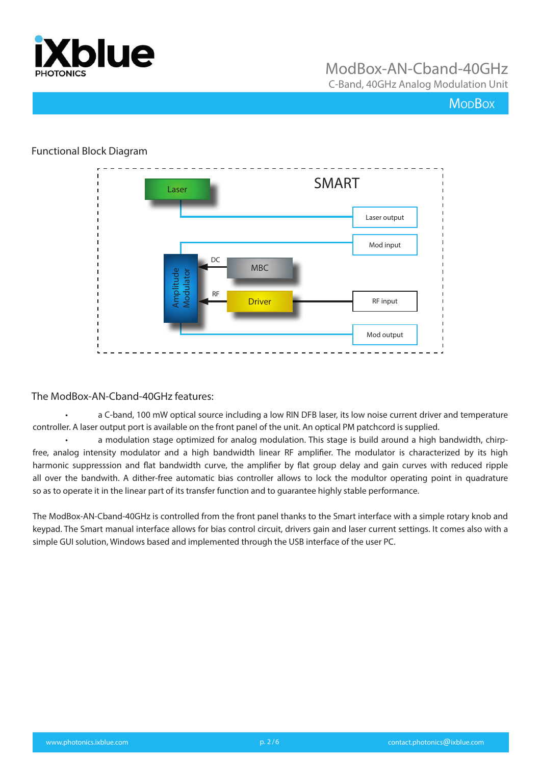

C-Band, 40GHz Analog Modulation Unit

## **MopBox**

#### Functional Block Diagram



#### The ModBox-AN-Cband-40GHz features:

• a C-band, 100 mW optical source including a low RIN DFB laser, its low noise current driver and temperature controller. A laser output port is available on the front panel of the unit. An optical PM patchcord is supplied.

• a modulation stage optimized for analog modulation. This stage is build around a high bandwidth, chirpfree, analog intensity modulator and a high bandwidth linear RF amplifier. The modulator is characterized by its high harmonic suppresssion and flat bandwidth curve, the amplifier by flat group delay and gain curves with reduced ripple all over the bandwith. A dither-free automatic bias controller allows to lock the modultor operating point in quadrature so as to operate it in the linear part of its transfer function and to guarantee highly stable performance.

The ModBox-AN-Cband-40GHz is controlled from the front panel thanks to the Smart interface with a simple rotary knob and keypad. The Smart manual interface allows for bias control circuit, drivers gain and laser current settings. It comes also with a simple GUI solution, Windows based and implemented through the USB interface of the user PC.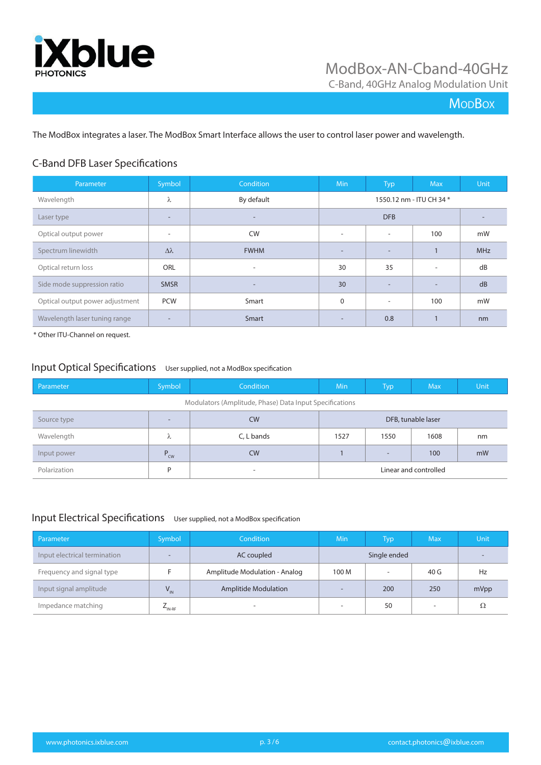

C-Band, 40GHz Analog Modulation Unit

## **MoDBox**

The ModBox integrates a laser. The ModBox Smart Interface allows the user to control laser power and wavelength.

#### C-Band DFB Laser Specifications

| Parameter                       | Symbol                   | Condition                | <b>Min</b>               | Typ                      | <b>Max</b>               | Unit       |
|---------------------------------|--------------------------|--------------------------|--------------------------|--------------------------|--------------------------|------------|
| Wavelength                      | λ                        | By default               |                          |                          | 1550.12 nm - ITU CH 34 * |            |
| Laser type                      | ۰                        | $\overline{\phantom{a}}$ |                          | <b>DFB</b>               |                          |            |
| Optical output power            | $\overline{\phantom{a}}$ | <b>CW</b>                | $\overline{\phantom{a}}$ | $\overline{\phantom{a}}$ | 100                      | mW         |
| Spectrum linewidth              | $\Delta\lambda$          | <b>FWHM</b>              | $\overline{a}$           | -                        | $\mathbf{1}$             | <b>MHz</b> |
| Optical return loss             | <b>ORL</b>               | $\overline{\phantom{0}}$ | 30                       | 35                       | ٠                        | dB         |
| Side mode suppression ratio     | <b>SMSR</b>              | $\overline{\phantom{a}}$ | 30                       |                          | $\overline{\phantom{0}}$ | dB         |
| Optical output power adjustment | <b>PCW</b>               | Smart                    | 0                        | $\overline{\phantom{a}}$ | 100                      | mW         |
| Wavelength laser tuning range   | -                        | Smart                    | $\overline{\phantom{a}}$ | 0.8                      | $\mathbf{I}$             | nm         |

\* Other ITU-Channel on request.

#### Input Optical Specifications User supplied, not a ModBox specification

| Parameter                                               | Symbol          | Condition                | <b>Min</b> | <b>Typ</b>               | <b>Max</b>            | Unit |
|---------------------------------------------------------|-----------------|--------------------------|------------|--------------------------|-----------------------|------|
| Modulators (Amplitude, Phase) Data Input Specifications |                 |                          |            |                          |                       |      |
| Source type                                             |                 | <b>CW</b>                |            |                          | DFB, tunable laser    |      |
| Wavelength                                              | $\Lambda$       | C, L bands               | 1527       | 1550                     | 1608                  | nm   |
| Input power                                             | $P_{\text{cw}}$ | <b>CW</b>                |            | $\overline{\phantom{0}}$ | 100                   | mW   |
| Polarization                                            | D               | $\overline{\phantom{a}}$ |            |                          | Linear and controlled |      |

#### Input Electrical Specifications User supplied, not a ModBox specification

| Parameter                    | Symbol             | Condition                     | Min                      | Typ          | <b>Max</b>               | Unit |
|------------------------------|--------------------|-------------------------------|--------------------------|--------------|--------------------------|------|
| Input electrical termination |                    | AC coupled                    |                          | Single ended |                          |      |
| Frequency and signal type    |                    | Amplitude Modulation - Analog | 100 M                    |              | 40 G                     | Hz   |
| Input signal amplitude       | $V_{\text{IN}}$    | <b>Amplitide Modulation</b>   | $\overline{\phantom{a}}$ | 200          | 250                      | mVpp |
| Impedance matching           | $L_{\text{IN-RF}}$ | $\overline{\phantom{a}}$      | $\overline{\phantom{a}}$ | 50           | $\overline{\phantom{a}}$ | Ω    |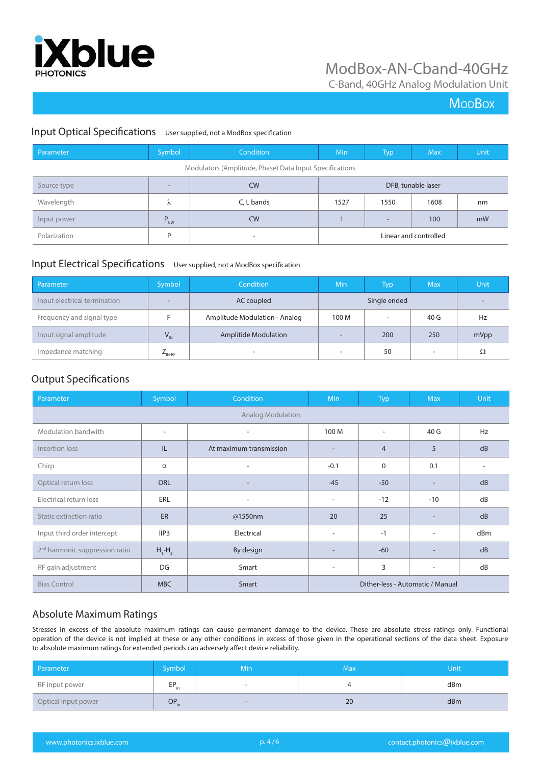

C-Band, 40GHz Analog Modulation Unit

## **MoDBox**

#### Input Optical Specifications User supplied, not a ModBox specification

| Parameter    | Symbol                   | Condition                                               | Min                | <b>Typ</b>               | <b>Max</b>            | Unit |
|--------------|--------------------------|---------------------------------------------------------|--------------------|--------------------------|-----------------------|------|
|              |                          | Modulators (Amplitude, Phase) Data Input Specifications |                    |                          |                       |      |
| Source type  | $\overline{\phantom{a}}$ | <b>CW</b>                                               | DFB, tunable laser |                          |                       |      |
| Wavelength   | ⋏                        | C, L bands                                              | 1527               | 1550                     | 1608                  | nm   |
| Input power  | $P_{\text{cw}}$          | <b>CW</b>                                               |                    | $\overline{\phantom{a}}$ | 100                   | mW   |
| Polarization | D                        | $\overline{\phantom{a}}$                                |                    |                          | Linear and controlled |      |

#### Input Electrical Specifications User supplied, not a ModBox specification

| Parameter                    | Symbol                   | Condition                     | <b>Min</b>               | Typ                      | <b>Max</b> | Unit |
|------------------------------|--------------------------|-------------------------------|--------------------------|--------------------------|------------|------|
| Input electrical termination | $\overline{\phantom{a}}$ | AC coupled                    |                          | Single ended             |            | -    |
| Frequency and signal type    |                          | Amplitude Modulation - Analog | 100 M                    | $\overline{\phantom{a}}$ | 40 G       | Hz   |
| Input signal amplitude       | $V_{\text{IN}}$          | <b>Amplitide Modulation</b>   | $\sim$                   | 200                      | 250        | mVpp |
| Impedance matching           | $E_{\text{IN-RF}}$       | ۰                             | $\overline{\phantom{a}}$ | 50                       | -          | Ω    |

#### Output Specifications

| Parameter                                  | Symbol           | Condition                | <b>Min</b>                       | Typ            | <b>Max</b>               | <b>Unit</b> |
|--------------------------------------------|------------------|--------------------------|----------------------------------|----------------|--------------------------|-------------|
|                                            |                  | <b>Analog Modulation</b> |                                  |                |                          |             |
| Modulation bandwith                        | $\sim$           | $\overline{\phantom{a}}$ | 100 M                            | $\sim$         | 40 G                     | Hz          |
| Insertion loss                             | IL               | At maximum transmission  | $\overline{a}$                   | $\overline{4}$ | 5                        | dB          |
| Chirp                                      | $\alpha$         | ٠                        | $-0.1$                           | $\mathbf{0}$   | 0.1                      |             |
| Optical return loss                        | <b>ORL</b>       | $\overline{\phantom{a}}$ | $-45$                            | $-50$          | $\overline{\phantom{a}}$ | dB          |
| Electrical return loss                     | ERL              | $\overline{\phantom{a}}$ | $\overline{\phantom{a}}$         | $-12$          | $-10$                    | dB          |
| Static extinction ratio                    | ER               | @1550nm                  | 20                               | 25             |                          | dB          |
| Input third order intercept                | IIP <sub>3</sub> | Electrical               | $\overline{\phantom{a}}$         | $-1$           | ٠                        | dBm         |
| 2 <sup>nd</sup> harmonic suppression ratio | $H_1$ - $H_2$    | By design                |                                  | $-60$          |                          | dB          |
| RF gain adjustment                         | DG               | Smart                    | $\overline{\phantom{a}}$         | 3              | $\overline{\phantom{a}}$ | dB          |
| <b>Bias Control</b>                        | <b>MBC</b>       | Smart                    | Dither-less - Automatic / Manual |                |                          |             |

#### Absolute Maximum Ratings

Stresses in excess of the absolute maximum ratings can cause permanent damage to the device. These are absolute stress ratings only. Functional operation of the device is not implied at these or any other conditions in excess of those given in the operational sections of the data sheet. Exposure to absolute maximum ratings for extended periods can adversely affect device reliability.

| Parameter           | Symbol          | <b>Min</b>               | Max | Unit |
|---------------------|-----------------|--------------------------|-----|------|
| RF input power      | FD<br>ч<br>∵ in | $\overline{\phantom{0}}$ |     | dBm  |
| Optical input power | $OP_{in}$       | $\overline{\phantom{0}}$ | 20  | dBm  |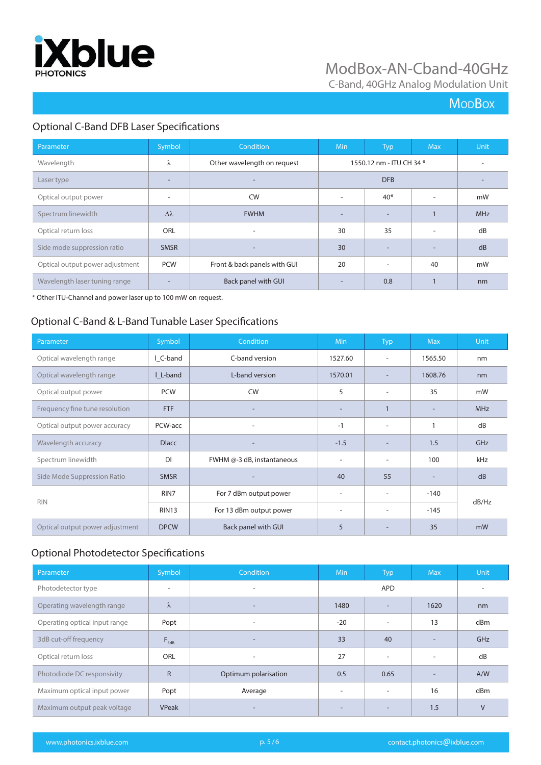

C-Band, 40GHz Analog Modulation Unit

## **MoDBox**

## Optional C-Band DFB Laser Specifications

| Parameter                       | Symbol                   | Condition                    | <b>Min</b>               | <b>Typ</b>               | <b>Max</b> | <b>Unit</b>              |
|---------------------------------|--------------------------|------------------------------|--------------------------|--------------------------|------------|--------------------------|
| Wavelength                      | λ                        | Other wavelength on request  |                          | 1550.12 nm - ITU CH 34 * |            | $\overline{\phantom{a}}$ |
| Laser type                      | $\overline{\phantom{0}}$ |                              |                          | <b>DFB</b>               |            |                          |
| Optical output power            | ٠                        | <b>CW</b>                    | $\overline{\phantom{a}}$ | $40*$                    |            | mW                       |
| Spectrum linewidth              | $\Delta \lambda$         | <b>FWHM</b>                  | $\overline{\phantom{a}}$ |                          |            | <b>MHz</b>               |
| Optical return loss             | <b>ORL</b>               | $\overline{\phantom{a}}$     | 30                       | 35                       | ٠          | dB                       |
| Side mode suppression ratio     | <b>SMSR</b>              | $\overline{\phantom{a}}$     | 30                       |                          |            | dB                       |
| Optical output power adjustment | <b>PCW</b>               | Front & back panels with GUI | 20                       |                          | 40         | mW                       |
| Wavelength laser tuning range   | $\overline{\phantom{a}}$ | Back panel with GUI          | $\overline{\phantom{0}}$ | 0.8                      |            | nm                       |

\* Other ITU-Channel and power laser up to 100 mW on request.

#### Optional C-Band & L-Band Tunable Laser Specifications

| Parameter                       | Symbol       | <b>Condition</b>           | Min                      | Typ                      | <b>Max</b> | <b>Unit</b> |
|---------------------------------|--------------|----------------------------|--------------------------|--------------------------|------------|-------------|
| Optical wavelength range        | I C-band     | C-band version             | 1527.60                  | ۰.                       | 1565.50    | nm          |
| Optical wavelength range        | I L-band     | L-band version             | 1570.01                  |                          | 1608.76    | nm          |
| Optical output power            | <b>PCW</b>   | <b>CW</b>                  | 5                        |                          | 35         | mW          |
| Frequency fine tune resolution  | <b>FTF</b>   |                            | $\overline{\phantom{a}}$ |                          |            | <b>MHz</b>  |
| Optical output power accuracy   | PCW-acc      | $\overline{\phantom{a}}$   | $-1$                     | $\overline{\phantom{a}}$ | 1          | dB          |
| Wavelength accuracy             | <b>Dlacc</b> |                            | $-1.5$                   |                          | 1.5        | GHz         |
| Spectrum linewidth              | DI           | FWHM @-3 dB, instantaneous | $\overline{\phantom{a}}$ |                          | 100        | kHz         |
| Side Mode Suppression Ratio     | <b>SMSR</b>  |                            | 40                       | 55                       |            | dB          |
|                                 | RIN7         | For 7 dBm output power     | $\overline{\phantom{a}}$ | $\overline{\phantom{a}}$ | $-140$     | dB/Hz       |
| <b>RIN</b>                      | <b>RIN13</b> | For 13 dBm output power    | $\overline{\phantom{a}}$ | $\overline{\phantom{a}}$ | $-145$     |             |
| Optical output power adjustment | <b>DPCW</b>  | Back panel with GUI        | 5                        |                          | 35         | mW          |

## Optional Photodetector Specifications

| Parameter                     | Symbol <sup>'</sup>      | Condition                | <b>Min</b>               | Typ                      | <b>Max</b>               | Unit   |
|-------------------------------|--------------------------|--------------------------|--------------------------|--------------------------|--------------------------|--------|
| Photodetector type            | $\overline{\phantom{a}}$ |                          |                          | <b>APD</b>               |                          |        |
| Operating wavelength range    | $\lambda$                | $\overline{\phantom{0}}$ | 1480                     |                          | 1620                     | nm     |
| Operating optical input range | Popt                     | ٠                        | $-20$                    | $\overline{\phantom{a}}$ | 13                       | dBm    |
| 3dB cut-off frequency         | $F_{\text{3dB}}$         | $\overline{\phantom{0}}$ | 33                       | 40                       |                          | GHz    |
| Optical return loss           | <b>ORL</b>               | ٠                        | 27                       |                          | $\overline{\phantom{a}}$ | dB     |
| Photodiode DC responsivity    | $\mathsf{R}$             | Optimum polarisation     | 0.5                      | 0.65                     | $\overline{\phantom{a}}$ | A/W    |
| Maximum optical input power   | Popt                     | Average                  | $\overline{\phantom{a}}$ | $\overline{\phantom{a}}$ | 16                       | dBm    |
| Maximum output peak voltage   | VPeak                    |                          | $\overline{\phantom{0}}$ |                          | 1.5                      | $\vee$ |